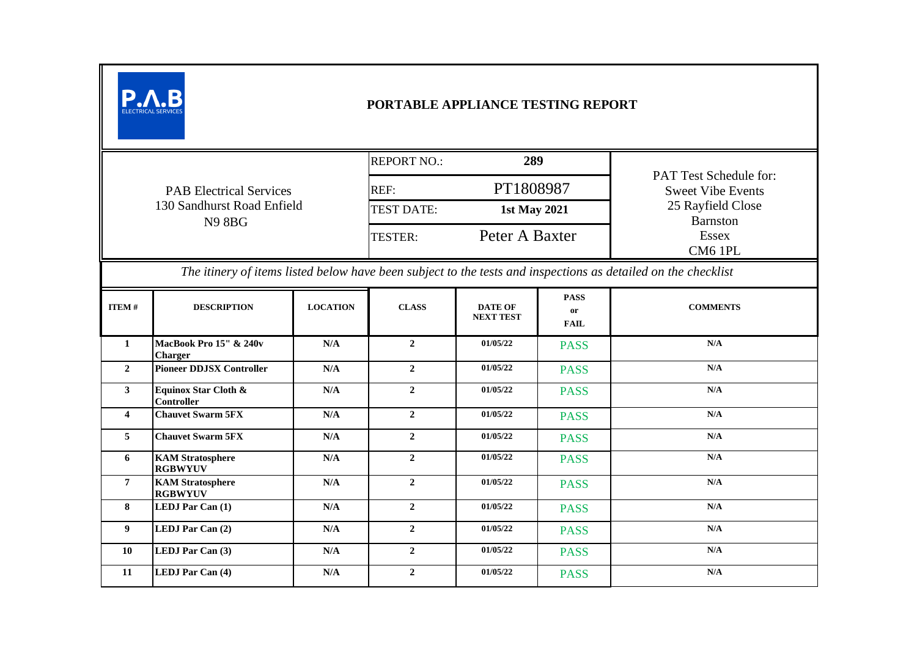| PORTABLE APPLIANCE TESTING REPORT                                                                             |                                           |                 |                                   |                                    |                                         |                                                           |  |  |
|---------------------------------------------------------------------------------------------------------------|-------------------------------------------|-----------------|-----------------------------------|------------------------------------|-----------------------------------------|-----------------------------------------------------------|--|--|
|                                                                                                               |                                           |                 | <b>REPORT NO.:</b><br>289         |                                    |                                         |                                                           |  |  |
|                                                                                                               | <b>PAB Electrical Services</b>            |                 |                                   | PT1808987<br>REF:                  |                                         | <b>PAT Test Schedule for:</b><br><b>Sweet Vibe Events</b> |  |  |
| 130 Sandhurst Road Enfield<br><b>N98BG</b>                                                                    |                                           |                 | <b>TEST DATE:</b><br>1st May 2021 |                                    |                                         | 25 Rayfield Close<br><b>Barnston</b>                      |  |  |
|                                                                                                               |                                           |                 |                                   | Peter A Baxter                     |                                         | Essex<br>CM6 1PL                                          |  |  |
| The itinery of items listed below have been subject to the tests and inspections as detailed on the checklist |                                           |                 |                                   |                                    |                                         |                                                           |  |  |
| <b>ITEM#</b>                                                                                                  | <b>DESCRIPTION</b>                        | <b>LOCATION</b> | <b>CLASS</b>                      | <b>DATE OF</b><br><b>NEXT TEST</b> | <b>PASS</b><br><b>or</b><br><b>FAIL</b> | <b>COMMENTS</b>                                           |  |  |
| $\mathbf{1}$                                                                                                  | MacBook Pro 15" & 240v<br><b>Charger</b>  | N/A             | $\mathbf{2}$                      | 01/05/22                           | <b>PASS</b>                             | N/A                                                       |  |  |
| $\overline{2}$                                                                                                | <b>Pioneer DDJSX Controller</b>           | N/A             | $\overline{2}$                    | 01/05/22                           | <b>PASS</b>                             | N/A                                                       |  |  |
| $\mathbf{3}$                                                                                                  | Equinox Star Cloth &<br>Controller        | N/A             | $\overline{2}$                    | 01/05/22                           | <b>PASS</b>                             | $\mathbf{N}/\mathbf{A}$                                   |  |  |
| $\overline{4}$                                                                                                | <b>Chauvet Swarm 5FX</b>                  | N/A             | $\mathbf{2}$                      | 01/05/22                           | <b>PASS</b>                             | $\mathbf{N}/\mathbf{A}$                                   |  |  |
| 5                                                                                                             | <b>Chauvet Swarm 5FX</b>                  | N/A             | $\overline{2}$                    | 01/05/22                           | <b>PASS</b>                             | N/A                                                       |  |  |
| 6                                                                                                             | <b>KAM</b> Stratosphere<br><b>RGBWYUV</b> | N/A             | $\overline{2}$                    | 01/05/22                           | <b>PASS</b>                             | $\mathbf{N}/\mathbf{A}$                                   |  |  |
| $\overline{7}$                                                                                                | <b>KAM Stratosphere</b><br><b>RGBWYUV</b> | N/A             | $\overline{2}$                    | 01/05/22                           | <b>PASS</b>                             | N/A                                                       |  |  |
| 8                                                                                                             | LEDJ Par Can (1)                          | N/A             | $\overline{2}$                    | 01/05/22                           | <b>PASS</b>                             | N/A                                                       |  |  |
| $\boldsymbol{9}$                                                                                              | LEDJ Par Can (2)                          | N/A             | $\overline{2}$                    | 01/05/22                           | <b>PASS</b>                             | N/A                                                       |  |  |
| 10                                                                                                            | LEDJ Par Can (3)                          | N/A             | $\overline{2}$                    | 01/05/22                           | <b>PASS</b>                             | N/A                                                       |  |  |
| 11                                                                                                            | LEDJ Par Can (4)                          | N/A             | $\mathbf{2}$                      | 01/05/22                           | <b>PASS</b>                             | N/A                                                       |  |  |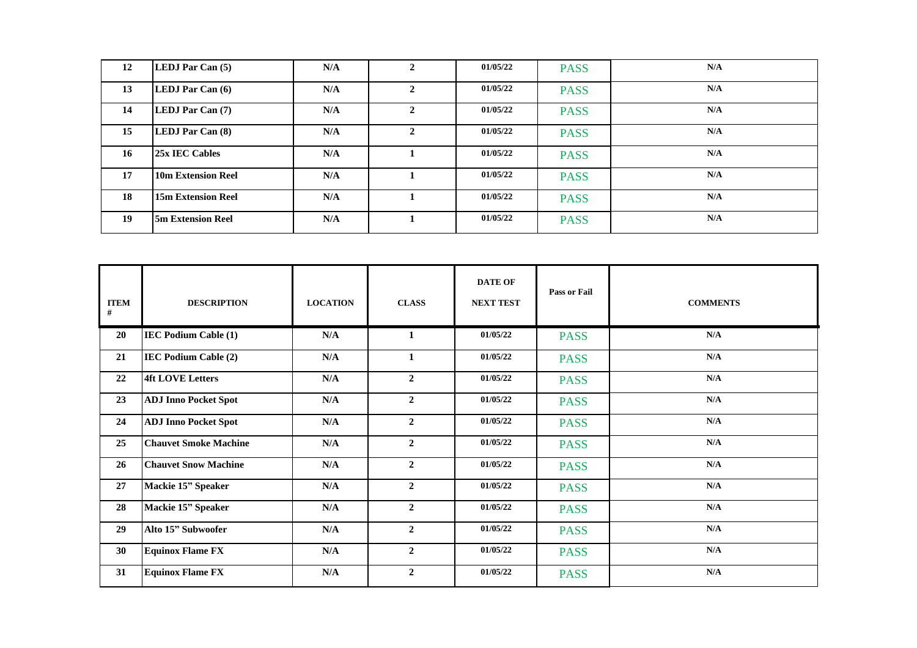| 12 | LEDJ Par Can (5)          | N/A | $\overline{2}$ | 01/05/22 | <b>PASS</b> | N/A |
|----|---------------------------|-----|----------------|----------|-------------|-----|
| 13 | LEDJ Par Can (6)          | N/A | $\mathbf{2}$   | 01/05/22 | <b>PASS</b> | N/A |
| 14 | LEDJ Par Can (7)          | N/A | $\mathbf{2}$   | 01/05/22 | <b>PASS</b> | N/A |
| 15 | LEDJ Par Can (8)          | N/A | $\mathbf{2}$   | 01/05/22 | <b>PASS</b> | N/A |
| 16 | 25x IEC Cables            | N/A |                | 01/05/22 | <b>PASS</b> | N/A |
| 17 | 10m Extension Reel        | N/A |                | 01/05/22 | <b>PASS</b> | N/A |
| 18 | <b>15m Extension Reel</b> | N/A |                | 01/05/22 | <b>PASS</b> | N/A |
| 19 | <b>5m Extension Reel</b>  | N/A |                | 01/05/22 | <b>PASS</b> | N/A |

| <b>ITEM</b><br># | <b>DESCRIPTION</b>           | <b>LOCATION</b>         | <b>CLASS</b>   | <b>DATE OF</b><br><b>NEXT TEST</b> | <b>Pass or Fail</b> | <b>COMMENTS</b>         |
|------------------|------------------------------|-------------------------|----------------|------------------------------------|---------------------|-------------------------|
| 20               | <b>IEC Podium Cable (1)</b>  | N/A                     | 1              | 01/05/22                           | <b>PASS</b>         | N/A                     |
| 21               | <b>IEC Podium Cable (2)</b>  | N/A                     | 1              | 01/05/22                           | <b>PASS</b>         | N/A                     |
| 22               | <b>4ft LOVE Letters</b>      | N/A                     | $\overline{2}$ | 01/05/22                           | <b>PASS</b>         | N/A                     |
| 23               | <b>ADJ</b> Inno Pocket Spot  | N/A                     | $\overline{2}$ | 01/05/22                           | <b>PASS</b>         | N/A                     |
| 24               | <b>ADJ</b> Inno Pocket Spot  | N/A                     | $\overline{2}$ | 01/05/22                           | <b>PASS</b>         | N/A                     |
| 25               | <b>Chauvet Smoke Machine</b> | N/A                     | $\overline{2}$ | 01/05/22                           | <b>PASS</b>         | $\mathbf{N}/\mathbf{A}$ |
| 26               | <b>Chauvet Snow Machine</b>  | N/A                     | $\overline{2}$ | 01/05/22                           | <b>PASS</b>         | N/A                     |
| 27               | Mackie 15" Speaker           | N/A                     | $\overline{2}$ | 01/05/22                           | <b>PASS</b>         | $\mathbf{N}/\mathbf{A}$ |
| 28               | Mackie 15" Speaker           | N/A                     | $\overline{2}$ | 01/05/22                           | <b>PASS</b>         | N/A                     |
| 29               | Alto 15" Subwoofer           | N/A                     | $\overline{2}$ | 01/05/22                           | <b>PASS</b>         | N/A                     |
| 30               | <b>Equinox Flame FX</b>      | N/A                     | $\mathbf{2}$   | 01/05/22                           | <b>PASS</b>         | N/A                     |
| 31               | <b>Equinox Flame FX</b>      | $\mathbf{N}/\mathbf{A}$ | $\overline{2}$ | 01/05/22                           | <b>PASS</b>         | $\mathbf{N}/\mathbf{A}$ |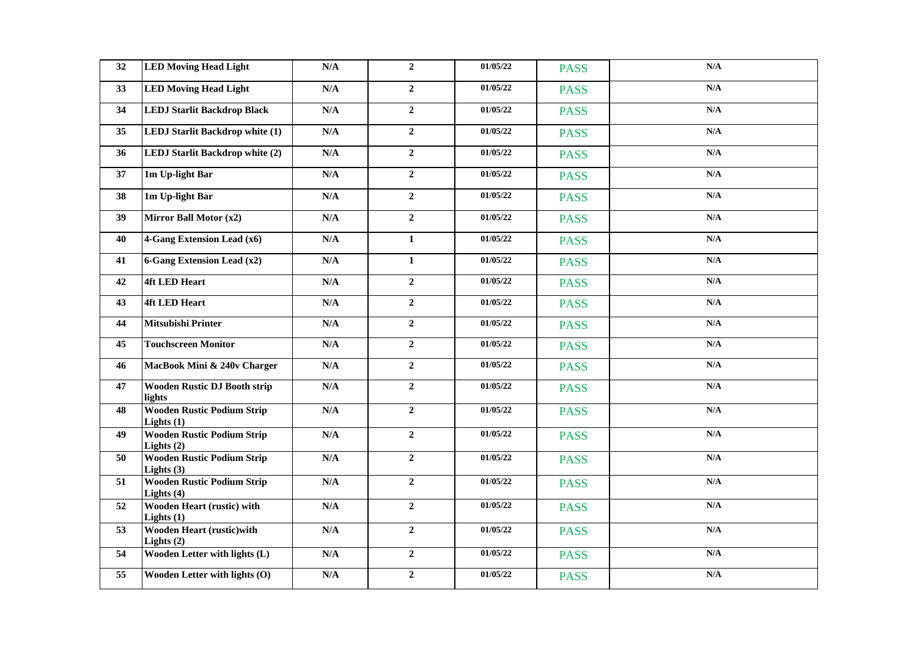| 32              | <b>LED Moving Head Light</b>                      | $\mathbf{N}/\mathbf{A}$ | $\overline{2}$   | 01/05/22 | <b>PASS</b> | N/A                     |
|-----------------|---------------------------------------------------|-------------------------|------------------|----------|-------------|-------------------------|
| 33              | <b>LED Moving Head Light</b>                      | N/A                     | $\overline{2}$   | 01/05/22 | <b>PASS</b> | $\mathbf{N}/\mathbf{A}$ |
| 34              | <b>LEDJ Starlit Backdrop Black</b>                | N/A                     | $\overline{2}$   | 01/05/22 | <b>PASS</b> | N/A                     |
| 35              | <b>LEDJ Starlit Backdrop white (1)</b>            | N/A                     | $\overline{2}$   | 01/05/22 | <b>PASS</b> | N/A                     |
| 36              | LEDJ Starlit Backdrop white (2)                   | N/A                     | $\overline{2}$   | 01/05/22 | <b>PASS</b> | N/A                     |
| 37              | 1m Up-light Bar                                   | $\mathbf{N}/\mathbf{A}$ | $\overline{2}$   | 01/05/22 | <b>PASS</b> | N/A                     |
| 38              | 1m Up-light Bar                                   | $\mathbf{N}/\mathbf{A}$ | $\overline{2}$   | 01/05/22 | <b>PASS</b> | N/A                     |
| 39              | Mirror Ball Motor (x2)                            | $\mathbf{N}/\mathbf{A}$ | $\overline{2}$   | 01/05/22 | <b>PASS</b> | N/A                     |
| 40              | 4-Gang Extension Lead (x6)                        | N/A                     | $\mathbf{1}$     | 01/05/22 | <b>PASS</b> | $\mathbf{N}/\mathbf{A}$ |
| 41              | <b>6-Gang Extension Lead (x2)</b>                 | N/A                     | $\mathbf{1}$     | 01/05/22 | <b>PASS</b> | N/A                     |
| 42              | <b>4ft LED Heart</b>                              | N/A                     | $\overline{2}$   | 01/05/22 | <b>PASS</b> | $\mathbf{N}/\mathbf{A}$ |
| 43              | <b>4ft LED Heart</b>                              | N/A                     | $\overline{2}$   | 01/05/22 | <b>PASS</b> | N/A                     |
| 44              | <b>Mitsubishi Printer</b>                         | N/A                     | $\boldsymbol{2}$ | 01/05/22 | <b>PASS</b> | N/A                     |
| 45              | <b>Touchscreen Monitor</b>                        | N/A                     | $\boldsymbol{2}$ | 01/05/22 | <b>PASS</b> | $\mathbf{N}/\mathbf{A}$ |
| 46              | MacBook Mini & 240v Charger                       | N/A                     | $\boldsymbol{2}$ | 01/05/22 | <b>PASS</b> | N/A                     |
| 47              | <b>Wooden Rustic DJ Booth strip</b><br>lights     | N/A                     | $\overline{2}$   | 01/05/22 | <b>PASS</b> | N/A                     |
| 48              | <b>Wooden Rustic Podium Strip</b><br>Lights $(1)$ | N/A                     | $\overline{2}$   | 01/05/22 | <b>PASS</b> | N/A                     |
| 49              | <b>Wooden Rustic Podium Strip</b><br>Lights $(2)$ | N/A                     | $\overline{2}$   | 01/05/22 | <b>PASS</b> | N/A                     |
| 50              | <b>Wooden Rustic Podium Strip</b><br>Lights $(3)$ | N/A                     | $\overline{2}$   | 01/05/22 | <b>PASS</b> | N/A                     |
| 51              | <b>Wooden Rustic Podium Strip</b><br>Lights $(4)$ | N/A                     | $\overline{2}$   | 01/05/22 | <b>PASS</b> | $\mathbf{N}/\mathbf{A}$ |
| $\overline{52}$ | <b>Wooden Heart (rustic) with</b><br>Lights $(1)$ | N/A                     | $\overline{2}$   | 01/05/22 | <b>PASS</b> | N/A                     |
| 53              | <b>Wooden Heart (rustic)with</b><br>Lights $(2)$  | N/A                     | $\overline{2}$   | 01/05/22 | <b>PASS</b> | $\mathbf{N}/\mathbf{A}$ |
| 54              | Wooden Letter with lights (L)                     | N/A                     | $\overline{2}$   | 01/05/22 | <b>PASS</b> | N/A                     |
| 55              | Wooden Letter with lights (O)                     | N/A                     | $\overline{2}$   | 01/05/22 | <b>PASS</b> | N/A                     |